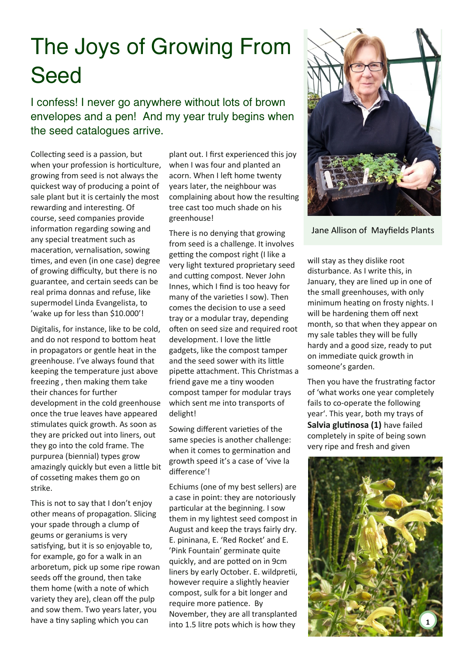## The Joys of Growing From Seed

I confess! I never go anywhere without lots of brown envelopes and a pen! And my year truly begins when the seed catalogues arrive.

Collecting seed is a passion, but when your profession is horticulture, growing from seed is not always the quickest way of producing a point of sale plant but it is certainly the most rewarding and interesting. Of course, seed companies provide information regarding sowing and any special treatment such as maceration, vernalisation, sowing times, and even (in one case) degree of growing difficulty, but there is no guarantee, and certain seeds can be real prima donnas and refuse, like supermodel Linda Evangelista, to 'wake up for less than \$10.000'!

Digitalis, for instance, like to be cold, and do not respond to bottom heat in propagators or gentle heat in the greenhouse. I've always found that keeping the temperature just above freezing , then making them take their chances for further development in the cold greenhouse once the true leaves have appeared stimulates quick growth. As soon as they are pricked out into liners, out they go into the cold frame. The purpurea (biennial) types grow amazingly quickly but even a little bit of cosseting makes them go on strike.

This is not to say that I don't enjoy other means of propagation. Slicing your spade through a clump of geums or geraniums is very satisfying, but it is so enjoyable to, for example, go for a walk in an arboretum, pick up some ripe rowan seeds off the ground, then take them home (with a note of which variety they are), clean off the pulp and sow them. Two years later, you have a tiny sapling which you can

plant out. I first experienced this joy when I was four and planted an acorn. When I left home twenty years later, the neighbour was complaining about how the resulting tree cast too much shade on his greenhouse!

There is no denying that growing from seed is a challenge. It involves getting the compost right (I like a very light textured proprietary seed and cutting compost. Never John Innes, which I find is too heavy for many of the varieties I sow). Then comes the decision to use a seed tray or a modular tray, depending often on seed size and required root development. I love the little gadgets, like the compost tamper and the seed sower with its little pipette attachment. This Christmas a friend gave me a tiny wooden compost tamper for modular trays which sent me into transports of delight!

Sowing different varieties of the same species is another challenge: when it comes to germination and growth speed it's a case of 'vive la difference'!

Echiums (one of my best sellers) are a case in point: they are notoriously particular at the beginning. I sow them in my lightest seed compost in August and keep the trays fairly dry. E. pininana, E. 'Red Rocket' and E. 'Pink Fountain' germinate quite quickly, and are potted on in 9cm liners by early October. E. wildpretii, however require a slightly heavier compost, sulk for a bit longer and require more patience. By November, they are all transplanted into 1.5 litre pots which is how they



Jane Allison of Mayfields Plants

will stay as they dislike root disturbance. As I write this, in January, they are lined up in one of the small greenhouses, with only minimum heating on frosty nights. I will be hardening them off next month, so that when they appear on my sale tables they will be fully hardy and a good size, ready to put on immediate quick growth in someone's garden.

Then you have the frustrating factor of 'what works one year completely fails to co-operate the following year'. This year, both my trays of **Salvia glutinosa (1)** have failed completely in spite of being sown very ripe and fresh and given